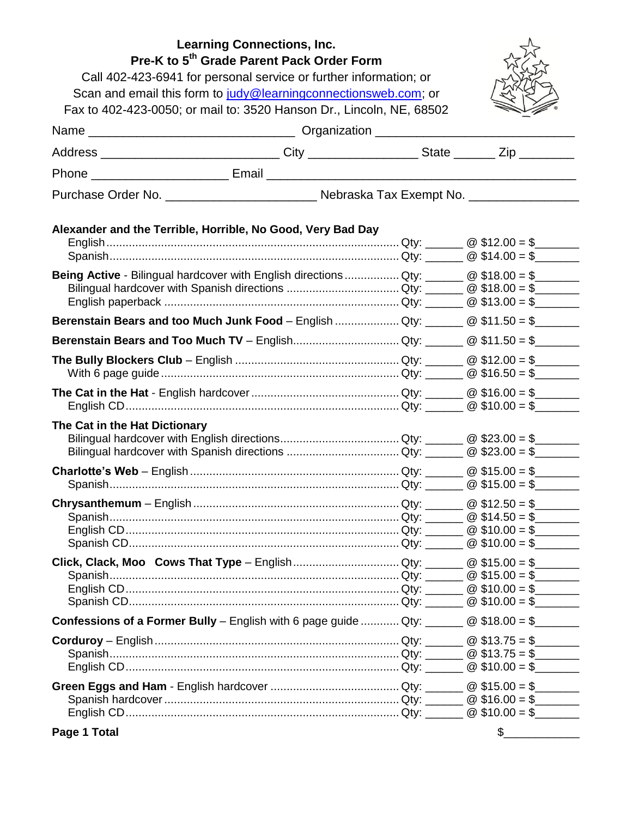| <b>Learning Connections, Inc.</b><br>Pre-K to 5 <sup>th</sup> Grade Parent Pack Order Form<br>Call 402-423-6941 for personal service or further information; or<br>Scan and email this form to judy@learningconnectionsweb.com; or |                                                                                                                                                |  |             |
|------------------------------------------------------------------------------------------------------------------------------------------------------------------------------------------------------------------------------------|------------------------------------------------------------------------------------------------------------------------------------------------|--|-------------|
|                                                                                                                                                                                                                                    |                                                                                                                                                |  |             |
|                                                                                                                                                                                                                                    |                                                                                                                                                |  |             |
|                                                                                                                                                                                                                                    | Fax to 402-423-0050; or mail to: 3520 Hanson Dr., Lincoln, NE, 68502                                                                           |  |             |
|                                                                                                                                                                                                                                    |                                                                                                                                                |  |             |
|                                                                                                                                                                                                                                    | Address _______________________________City ____________________State ________Zip __________                                                   |  |             |
|                                                                                                                                                                                                                                    |                                                                                                                                                |  |             |
|                                                                                                                                                                                                                                    |                                                                                                                                                |  |             |
|                                                                                                                                                                                                                                    | Alexander and the Terrible, Horrible, No Good, Very Bad Day                                                                                    |  |             |
|                                                                                                                                                                                                                                    |                                                                                                                                                |  |             |
|                                                                                                                                                                                                                                    |                                                                                                                                                |  |             |
|                                                                                                                                                                                                                                    | Being Active - Bilingual hardcover with English directions  Qty: _______ @ \$18.00 = \$______                                                  |  |             |
|                                                                                                                                                                                                                                    |                                                                                                                                                |  |             |
|                                                                                                                                                                                                                                    |                                                                                                                                                |  |             |
|                                                                                                                                                                                                                                    | Berenstain Bears and too Much Junk Food - English  Qty: $\_\_\_\_\_@$ \$11.50 = \$                                                             |  |             |
|                                                                                                                                                                                                                                    | <b>Berenstain Bears and Too Much TV</b> – EnglishQty: _______ @ \$11.50 = \$_______                                                            |  |             |
|                                                                                                                                                                                                                                    |                                                                                                                                                |  |             |
|                                                                                                                                                                                                                                    |                                                                                                                                                |  |             |
|                                                                                                                                                                                                                                    |                                                                                                                                                |  |             |
|                                                                                                                                                                                                                                    |                                                                                                                                                |  |             |
| The Cat in the Hat Dictionary                                                                                                                                                                                                      |                                                                                                                                                |  |             |
|                                                                                                                                                                                                                                    |                                                                                                                                                |  |             |
|                                                                                                                                                                                                                                    |                                                                                                                                                |  |             |
|                                                                                                                                                                                                                                    |                                                                                                                                                |  |             |
|                                                                                                                                                                                                                                    |                                                                                                                                                |  |             |
|                                                                                                                                                                                                                                    |                                                                                                                                                |  |             |
|                                                                                                                                                                                                                                    |                                                                                                                                                |  |             |
|                                                                                                                                                                                                                                    |                                                                                                                                                |  |             |
|                                                                                                                                                                                                                                    |                                                                                                                                                |  |             |
|                                                                                                                                                                                                                                    |                                                                                                                                                |  |             |
|                                                                                                                                                                                                                                    |                                                                                                                                                |  |             |
|                                                                                                                                                                                                                                    |                                                                                                                                                |  |             |
|                                                                                                                                                                                                                                    |                                                                                                                                                |  |             |
|                                                                                                                                                                                                                                    | <b>Confessions of a Former Bully</b> – English with 6 page guide  Qty: $\qquad \qquad \textcircled{318.00 = $ } \qquad \qquad \textcircled{4}$ |  |             |
|                                                                                                                                                                                                                                    |                                                                                                                                                |  |             |
|                                                                                                                                                                                                                                    |                                                                                                                                                |  |             |
|                                                                                                                                                                                                                                    |                                                                                                                                                |  |             |
|                                                                                                                                                                                                                                    |                                                                                                                                                |  |             |
|                                                                                                                                                                                                                                    |                                                                                                                                                |  |             |
|                                                                                                                                                                                                                                    |                                                                                                                                                |  |             |
|                                                                                                                                                                                                                                    |                                                                                                                                                |  |             |
| $D = 4$ Tetal                                                                                                                                                                                                                      |                                                                                                                                                |  | $\triangle$ |

**Page 1 Total**

 $\frac{1}{2}$